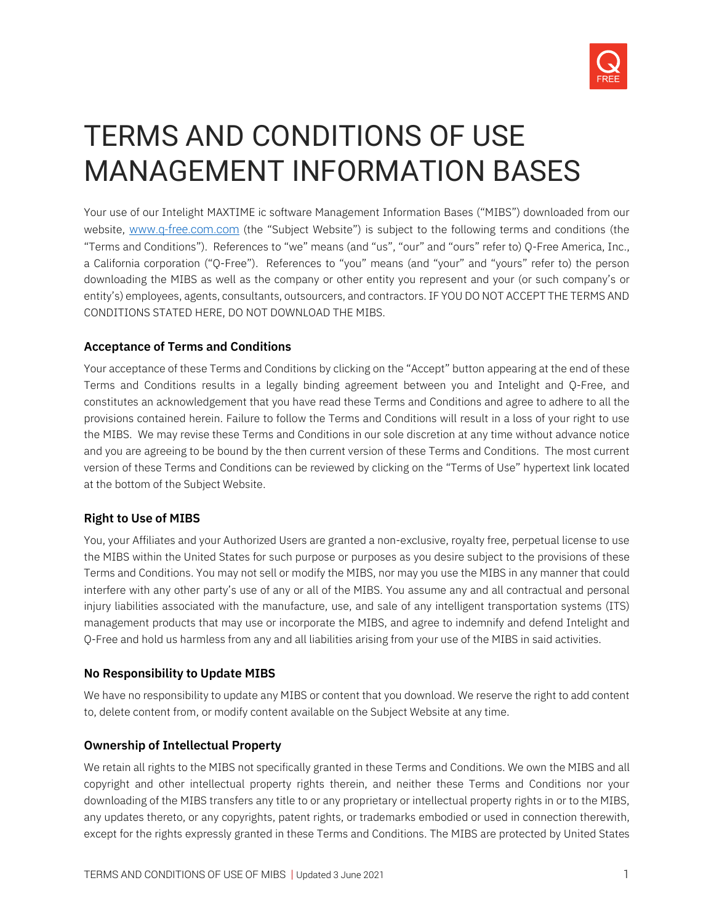

# TERMS AND CONDITIONS OF USE MANAGEMENT INFORMATION BASES

Your use of our Intelight MAXTIME ic software Management Information Bases ("MIBS") downloaded from our website, [www.q-free.com.com](http://www.intelight-its.com/) (the "Subject Website") is subject to the following terms and conditions (the "Terms and Conditions"). References to "we" means (and "us", "our" and "ours" refer to) Q-Free America, Inc., a California corporation ("Q-Free"). References to "you" means (and "your" and "yours" refer to) the person downloading the MIBS as well as the company or other entity you represent and your (or such company's or entity's) employees, agents, consultants, outsourcers, and contractors. IF YOU DO NOT ACCEPT THE TERMS AND CONDITIONS STATED HERE, DO NOT DOWNLOAD THE MIBS.

## **Acceptance of Terms and Conditions**

Your acceptance of these Terms and Conditions by clicking on the "Accept" button appearing at the end of these Terms and Conditions results in a legally binding agreement between you and Intelight and Q-Free, and constitutes an acknowledgement that you have read these Terms and Conditions and agree to adhere to all the provisions contained herein. Failure to follow the Terms and Conditions will result in a loss of your right to use the MIBS. We may revise these Terms and Conditions in our sole discretion at any time without advance notice and you are agreeing to be bound by the then current version of these Terms and Conditions. The most current version of these Terms and Conditions can be reviewed by clicking on the "Terms of Use" hypertext link located at the bottom of the Subject Website.

#### **Right to Use of MIBS**

You, your Affiliates and your Authorized Users are granted a non-exclusive, royalty free, perpetual license to use the MIBS within the United States for such purpose or purposes as you desire subject to the provisions of these Terms and Conditions. You may not sell or modify the MIBS, nor may you use the MIBS in any manner that could interfere with any other party's use of any or all of the MIBS. You assume any and all contractual and personal injury liabilities associated with the manufacture, use, and sale of any intelligent transportation systems (ITS) management products that may use or incorporate the MIBS, and agree to indemnify and defend Intelight and Q-Free and hold us harmless from any and all liabilities arising from your use of the MIBS in said activities.

# **No Responsibility to Update MIBS**

We have no responsibility to update any MIBS or content that you download. We reserve the right to add content to, delete content from, or modify content available on the Subject Website at any time.

#### **Ownership of Intellectual Property**

We retain all rights to the MIBS not specifically granted in these Terms and Conditions. We own the MIBS and all copyright and other intellectual property rights therein, and neither these Terms and Conditions nor your downloading of the MIBS transfers any title to or any proprietary or intellectual property rights in or to the MIBS, any updates thereto, or any copyrights, patent rights, or trademarks embodied or used in connection therewith, except for the rights expressly granted in these Terms and Conditions. The MIBS are protected by United States